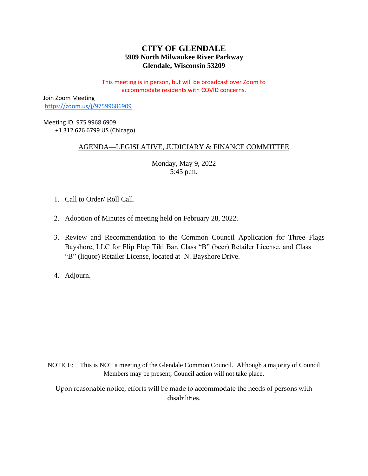# **CITY OF GLENDALE 5909 North Milwaukee River Parkway Glendale, Wisconsin 53209**

This meeting is in person, but will be broadcast over Zoom to accommodate residents with COVID concerns.

Join Zoom Meeting <https://zoom.us/j/97599686909>

Meeting ID: 975 9968 6909 +1 312 626 6799 US (Chicago)

## AGENDA—LEGISLATIVE, JUDICIARY & FINANCE COMMITTEE

Monday, May 9, 2022 5:45 p.m.

- 1. Call to Order/ Roll Call.
- 2. [Adoption of Minutes of meeting held on February 28, 2022.](#page-1-0)
- 3. [Review and Recommendation to the Common Council Application for Three Flags](#page-2-0) Bayshore, LLC for Flip Flop Tiki Bar, Class "B" (beer) Retailer License, and Class "B" (liquor) Retailer License, located at N. Bayshore Drive.

4. Adjourn.

NOTICE: This is NOT a meeting of the Glendale Common Council. Although a majority of Council Members may be present, Council action will not take place.

Upon reasonable notice, efforts will be made to accommodate the needs of persons with disabilities.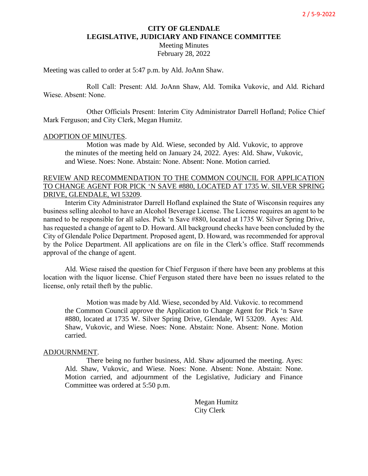## **CITY OF GLENDALE LEGISLATIVE, JUDICIARY AND FINANCE COMMITTEE**

Meeting Minutes February 28, 2022

<span id="page-1-0"></span>Meeting was called to order at 5:47 p.m. by Ald. JoAnn Shaw.

Roll Call: Present: Ald. JoAnn Shaw, Ald. Tomika Vukovic, and Ald. Richard Wiese. Absent: None.

Other Officials Present: Interim City Administrator Darrell Hofland; Police Chief Mark Ferguson; and City Clerk, Megan Humitz.

#### ADOPTION OF MINUTES.

Motion was made by Ald. Wiese, seconded by Ald. Vukovic, to approve the minutes of the meeting held on January 24, 2022. Ayes: Ald. Shaw, Vukovic, and Wiese. Noes: None. Abstain: None. Absent: None. Motion carried.

## REVIEW AND RECOMMENDATION TO THE COMMON COUNCIL FOR APPLICATION TO CHANGE AGENT FOR PICK 'N SAVE #880, LOCATED AT 1735 W. SILVER SPRING DRIVE, GLENDALE, WI 53209.

Interim City Administrator Darrell Hofland explained the State of Wisconsin requires any business selling alcohol to have an Alcohol Beverage License. The License requires an agent to be named to be responsible for all sales. Pick 'n Save #880, located at 1735 W. Silver Spring Drive, has requested a change of agent to D. Howard. All background checks have been concluded by the City of Glendale Police Department. Proposed agent, D. Howard, was recommended for approval by the Police Department. All applications are on file in the Clerk's office. Staff recommends approval of the change of agent.

Ald. Wiese raised the question for Chief Ferguson if there have been any problems at this location with the liquor license. Chief Ferguson stated there have been no issues related to the license, only retail theft by the public.

Motion was made by Ald. Wiese, seconded by Ald. Vukovic. to recommend the Common Council approve the Application to Change Agent for Pick 'n Save #880, located at 1735 W. Silver Spring Drive, Glendale, WI 53209. Ayes: Ald. Shaw, Vukovic, and Wiese. Noes: None. Abstain: None. Absent: None. Motion carried.

#### ADJOURNMENT.

There being no further business, Ald. Shaw adjourned the meeting. Ayes: Ald. Shaw, Vukovic, and Wiese. Noes: None. Absent: None. Abstain: None. Motion carried, and adjournment of the Legislative, Judiciary and Finance Committee was ordered at 5:50 p.m.

> Megan Humitz City Clerk